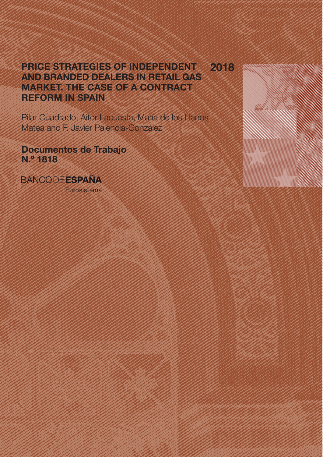## PRICE STRATEGIES OF INDEPENDENT AND BRANDED DEALERS IN RETAIL GAS MARKET. THE CASE OF A CONTRACT REFORM IN SPAIN 2018

Pilar Cuadrado, Aitor Lacuesta, María de los Llanos Matea and F. Javier Palencia-González

Documentos de Trabajo N.º 1818

**BANCODE ESPAÑA** 

Eurosistema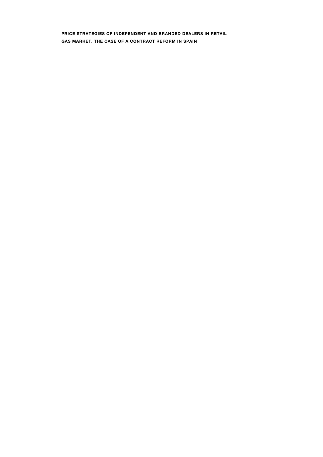PRICE STRATEGIES OF INDEPENDENT AND BRANDED DEALERS IN RETAIL GAS MARKET. THE CASE OF A CONTRACT REFORM IN SPAIN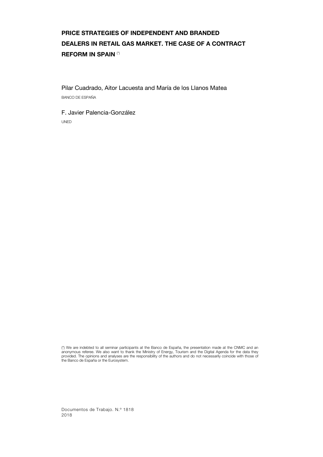# PRICE STRATEGIES OF INDEPENDENT AND BRANDED DEALERS IN RETAIL GAS MARKET. THE CASE OF A CONTRACT REFORM IN SPAIN (\*)

Pilar Cuadrado, Aitor Lacuesta and María de los Llanos Matea BANCO DE ESPAÑA

F. Javier Palencia-González UNED

(\*) We are indebted to all seminar participants at the Banco de España, the presentation made at the CNMC and an anonymous referee. We also want to thank the Ministry of Energy, Tourism and the Digital Agenda for the data they<br>provided. The opinions and analyses are the responsibility of the authors and do not necessarily coincide wi the Banco de España or the Eurosystem.

Documentos de Trabajo. N.º 1818 2018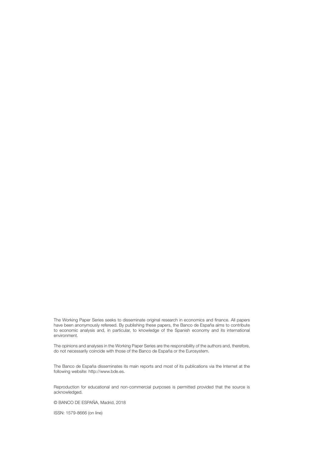The Working Paper Series seeks to disseminate original research in economics and finance. All papers have been anonymously refereed. By publishing these papers, the Banco de España aims to contribute to economic analysis and, in particular, to knowledge of the Spanish economy and its international environment.

The opinions and analyses in the Working Paper Series are the responsibility of the authors and, therefore, do not necessarily coincide with those of the Banco de España or the Eurosystem.

The Banco de España disseminates its main reports and most of its publications via the Internet at the following website: http://www.bde.es.

Reproduction for educational and non-commercial purposes is permitted provided that the source is acknowledged.

© BANCO DE ESPAÑA, Madrid, 2018

ISSN: 1579-8666 (on line)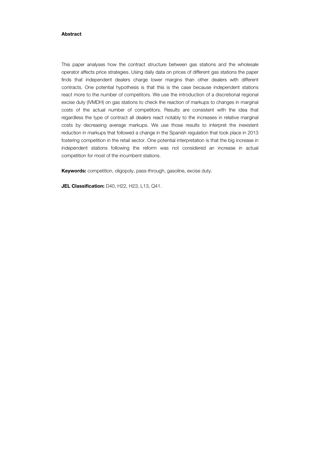#### Abstract

This paper analyses how the contract structure between gas stations and the wholesale operator affects price strategies. Using daily data on prices of different gas stations the paper finds that independent dealers charge lower margins than other dealers with different contracts. One potential hypothesis is that this is the case because independent stations react more to the number of competitors. We use the introduction of a discretional regional excise duty (IVMDH) on gas stations to check the reaction of markups to changes in marginal costs of the actual number of competitors. Results are consistent with the idea that regardless the type of contract all dealers react notably to the increases in relative marginal costs by decreasing average markups. We use those results to interpret the inexistent reduction in markups that followed a change in the Spanish regulation that took place in 2013 fostering competition in the retail sector. One potential interpretation is that the big increase in independent stations following the reform was not considered an increase in actual competition for most of the incumbent stations.

Keywords: competition, oligopoly, pass-through, gasoline, excise duty.

JEL Classification: D40, H22, H23, L13, Q41.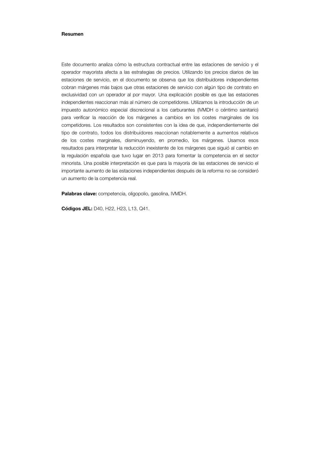#### Resumen

Este documento analiza cómo la estructura contractual entre las estaciones de servicio y el operador mayorista afecta a las estrategias de precios. Utilizando los precios diarios de las estaciones de servicio, en el documento se observa que los distribuidores independientes cobran márgenes más bajos que otras estaciones de servicio con algún tipo de contrato en exclusividad con un operador al por mayor. Una explicación posible es que las estaciones independientes reaccionan más al número de competidores. Utilizamos la introducción de un impuesto autonómico especial discrecional a los carburantes (IVMDH o céntimo sanitario) para verificar la reacción de los márgenes a cambios en los costes marginales de los competidores. Los resultados son consistentes con la idea de que, independientemente del tipo de contrato, todos los distribuidores reaccionan notablemente a aumentos relativos de los costes marginales, disminuyendo, en promedio, los márgenes. Usamos esos resultados para interpretar la reducción inexistente de los márgenes que siguió al cambio en la regulación española que tuvo lugar en 2013 para fomentar la competencia en el sector minorista. Una posible interpretación es que para la mayoría de las estaciones de servicio el importante aumento de las estaciones independientes después de la reforma no se consideró un aumento de la competencia real.

Palabras clave: competencia, oligopolio, gasolina, IVMDH.

Códigos JEL: D40, H22, H23, L13, Q41.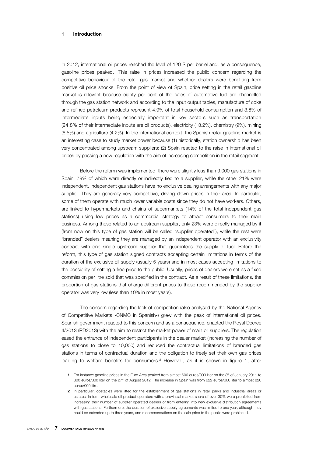#### 1 Introduction

In 2012, international oil prices reached the level of 120 \$ per barrel and, as a consequence, gasoline prices peaked.<sup>1</sup> This raise in prices increased the public concern regarding the competitive behaviour of the retail gas market and whether dealers were benefiting from positive oil price shocks. From the point of view of Spain, price setting in the retail gasoline market is relevant because eighty per cent of the sales of automotive fuel are channelled through the gas station network and according to the input output tables, manufacture of coke and refined petroleum products represent 4.9% of total household consumption and 3.6% of intermediate inputs being especially important in key sectors such as transportation (24.8% of their intermediate inputs are oil products), electricity (13.2%), chemistry (9%), mining (6.5%) and agriculture (4.2%). In the international context, the Spanish retail gasoline market is an interesting case to study market power because (1) historically, station ownership has been very concentrated among upstream suppliers; (2) Spain reacted to the raise in international oil prices by passing a new regulation with the aim of increasing competition in the retail segment.

Before the reform was implemented, there were slightly less than 9,000 gas stations in Spain, 79% of which were directly or indirectly tied to a supplier, while the other 21% were independent. Independent gas stations have no exclusive dealing arrangements with any major supplier. They are generally very competitive, driving down prices in their area. In particular, some of them operate with much lower variable costs since they do not have workers. Others, are linked to hypermarkets and chains of supermarkets (14% of the total independent gas stations) using low prices as a commercial strategy to attract consumers to their main business. Among those related to an upstream supplier, only 23% were directly managed by it (from now on this type of gas station will be called "supplier operated"), while the rest were "branded" dealers meaning they are managed by an independent operator with an exclusivity contract with one single upstream supplier that guarantees the supply of fuel. Before the reform, this type of gas station signed contracts accepting certain limitations in terms of the duration of the exclusive oil supply (usually 5 years) and in most cases accepting limitations to the possibility of setting a free price to the public. Usually, prices of dealers were set as a fixed commission per litre sold that was specified in the contract. As a result of these limitations, the proportion of gas stations that charge different prices to those recommended by the supplier operator was very low (less than 10% in most years).

The concern regarding the lack of competition (also analysed by the National Agency of Competitive Markets -CNMC in Spanish-) grew with the peak of international oil prices. Spanish government reacted to this concern and as a consequence, enacted the Royal Decree 4/2013 (RD2013) with the aim to restrict the market power of main oil suppliers. The regulation eased the entrance of independent participants in the dealer market (increasing the number of gas stations to close to 10,000) and reduced the contractual limitations of branded gas stations in terms of contractual duration and the obligation to freely set their own gas prices leading to welfare benefits for consumers.2 However, as it is shown in figure 1, after

I

<sup>1</sup> For instance gasoline prices in the Euro Area peaked from almost 600 euros/000 liter on the 3<sup>rd</sup> of January 2011 to 800 euros/000 liter on the 27<sup>th</sup> of August 2012. The increase in Spain was from 622 euros/000 liter to almost 820 euros/000 litre.

<sup>2</sup> In particular, obstacles were lifted for the establishment of gas stations in retail parks and industrial areas or estates. In turn, wholesale oil-product operators with a provincial market share of over 30% were prohibited from increasing their number of supplier operated dealers or from entering into new exclusive distribution agreements with gas stations. Furthermore, the duration of exclusive supply agreements was limited to one year, although they could be extended up to three years, and recommendations on the sale price to the public were prohibited.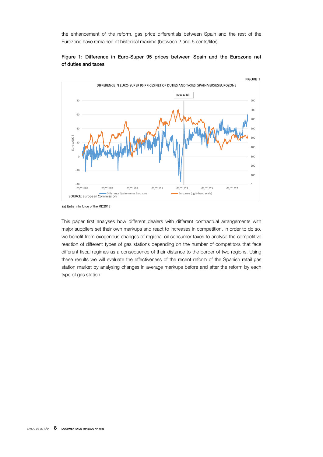the enhancement of the reform, gas price differentials between Spain and the rest of the Eurozone have remained at historical maxima (between 2 and 6 cents/liter).



### Figure 1: Difference in Euro-Super 95 prices between Spain and the Eurozone net of duties and taxes

(a) Entry into force of the RD2013

This paper first analyses how different dealers with different contractual arrangements with major suppliers set their own markups and react to increases in competition. In order to do so, we benefit from exogenous changes of regional oil consumer taxes to analyse the competitive reaction of different types of gas stations depending on the number of competitors that face different fiscal regimes as a consequence of their distance to the border of two regions. Using these results we will evaluate the effectiveness of the recent reform of the Spanish retail gas station market by analysing changes in average markups before and after the reform by each type of gas station.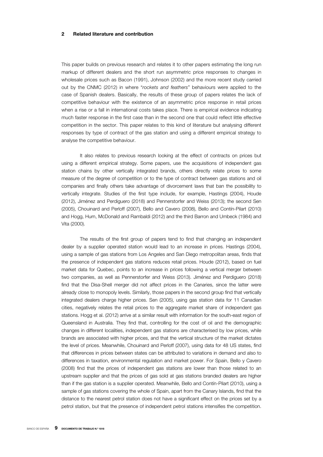#### 2 Related literature and contribution

This paper builds on previous research and relates it to other papers estimating the long run markup of different dealers and the short run asymmetric price responses to changes in wholesale prices such as Bacon (1991), Johnson (2002) and the more recent study carried out by the CNMC (2012) in where "*rockets and feathers*" behaviours were applied to the case of Spanish dealers. Basically, the results of these group of papers relates the lack of competitive behaviour with the existence of an asymmetric price response in retail prices when a rise or a fall in international costs takes place. There is empirical evidence indicating much faster response in the first case than in the second one that could reflect little effective competition in the sector. This paper relates to this kind of literature but analysing different responses by type of contract of the gas station and using a different empirical strategy to analyse the competitive behaviour.

It also relates to previous research looking at the effect of contracts on prices but using a different empirical strategy. Some papers, use the acquisitions of independent gas station chains by other vertically integrated brands, others directly relate prices to some measure of the degree of competition or to the type of contract between gas stations and oil companies and finally others take advantage of divorcement laws that ban the possibility to vertically integrate. Studies of the first type include, for example, Hastings (2004), Houde (2012), Jiménez and Perdiguero (2018) and Pennerstorfer and Weiss (2013); the second Sen (2005), Chouinard and Perloff (2007), Bello and Cavero (2008), Bello and Contín-Pilart (2010) and Hogg, Hurn, McDonald and Rambaldi (2012) and the third Barron and Umbeck (1984) and Vita (2000).

The results of the first group of papers tend to find that changing an independent dealer by a supplier operated station would lead to an increase in prices. Hastings (2004), using a sample of gas stations from Los Angeles and San Diego metropolitan areas, finds that the presence of independent gas stations reduces retail prices. Houde (2012), based on fuel market data for Quebec, points to an increase in prices following a vertical merger between two companies, as well as Pennerstorfer and Weiss (2013). Jiménez and Perdiguero (2018) find that the Disa-Shell merger did not affect prices in the Canaries, since the latter were already close to monopoly levels. Similarly, those papers in the second group find that vertically integrated dealers charge higher prices. Sen (2005), using gas station data for 11 Canadian cities, negatively relates the retail prices to the aggregate market share of independent gas stations. Hogg et al. (2012) arrive at a similar result with information for the south-east region of Queensland in Australia. They find that, controlling for the cost of oil and the demographic changes in different localities, independent gas stations are characterised by low prices, while brands are associated with higher prices, and that the vertical structure of the market dictates the level of prices. Meanwhile, Chouinard and Perloff (2007), using data for 48 US states, find that differences in prices between states can be attributed to variations in demand and also to differences in taxation, environmental regulation and market power. For Spain, Bello y Cavero (2008) find that the prices of independent gas stations are lower than those related to an upstream supplier and that the prices of gas sold at gas stations branded dealers are higher than if the gas station is a supplier operated. Meanwhile, Bello and Contín-Pilart (2010), using a sample of gas stations covering the whole of Spain, apart from the Canary Islands, find that the distance to the nearest petrol station does not have a significant effect on the prices set by a petrol station, but that the presence of independent petrol stations intensifies the competition.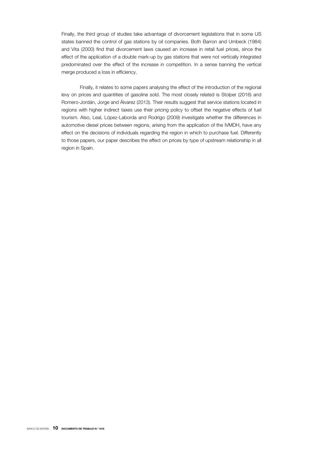Finally, the third group of studies take advantage of divorcement legislations that in some US states banned the control of gas stations by oil companies. Both Barron and Umbeck (1984) and Vita (2000) find that divorcement laws caused an increase in retail fuel prices, since the effect of the application of a double mark-up by gas stations that were not vertically integrated predominated over the effect of the increase in competition. In a sense banning the vertical merge produced a loss in efficiency.

Finally, it relates to some papers analysing the effect of the introduction of the regional levy on prices and quantities of gasoline sold. The most closely related is Stolper (2016) and Romero-Jordán, Jorge and Álvarez (2013). Their results suggest that service stations located in regions with higher indirect taxes use their pricing policy to offset the negative effects of fuel tourism. Also, Leal, López-Laborda and Rodrigo (2009) investigate whether the differences in automotive diesel prices between regions, arising from the application of the IVMDH, have any effect on the decisions of individuals regarding the region in which to purchase fuel. Differently to those papers, our paper describes the effect on prices by type of upstream relationship in all region in Spain.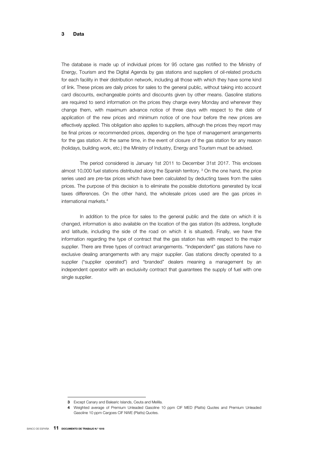#### 3 Data

The database is made up of individual prices for 95 octane gas notified to the Ministry of Energy, Tourism and the Digital Agenda by gas stations and suppliers of oil-related products for each facility in their distribution network, including all those with which they have some kind of link. These prices are daily prices for sales to the general public, without taking into account card discounts, exchangeable points and discounts given by other means. Gasoline stations are required to send information on the prices they charge every Monday and whenever they change them, with maximum advance notice of three days with respect to the date of application of the new prices and minimum notice of one hour before the new prices are effectively applied. This obligation also applies to suppliers, although the prices they report may be final prices or recommended prices, depending on the type of management arrangements for the gas station. At the same time, in the event of closure of the gas station for any reason (holidays, building work, etc.) the Ministry of Industry, Energy and Tourism must be advised.

The period considered is January 1st 2011 to December 31st 2017. This encloses almost 10,000 fuel stations distributed along the Spanish territory.<sup>3</sup> On the one hand, the price series used are pre-tax prices which have been calculated by deducting taxes from the sales prices. The purpose of this decision is to eliminate the possible distortions generated by local taxes differences. On the other hand, the wholesale prices used are the gas prices in international markets.4

In addition to the price for sales to the general public and the date on which it is changed, information is also available on the location of the gas station (its address, longitude and latitude, including the side of the road on which it is situated). Finally, we have the information regarding the type of contract that the gas station has with respect to the major supplier. There are three types of contract arrangements. "Independent" gas stations have no exclusive dealing arrangements with any major supplier. Gas stations directly operated to a supplier ("supplier operated") and "branded" dealers meaning a management by an independent operator with an exclusivity contract that guarantees the supply of fuel with one single supplier.

I

<sup>3</sup> Except Canary and Balearic Islands, Ceuta and Melilla.

<sup>4</sup> Weighted average of Premium Unleaded Gasoline 10 ppm CIF MED (Platts) Quotes and Premium Unleaded Gasoline 10 ppm Cargoes CIF NWE (Platts) Quotes.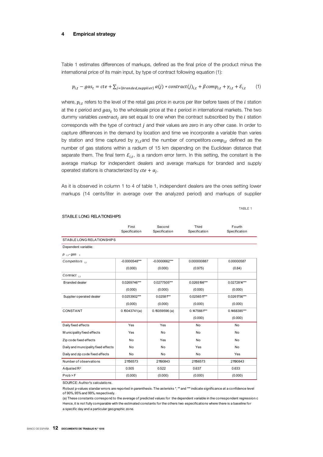#### 4 Empirical strategy

Table 1 estimates differences of markups, defined as the final price of the product minus the international price of its main input, by type of contract following equation (1):

$$
p_{i,t} - gas_t = cte + \sum_{j=\{branded, supplier\}} \alpha(j) * contract(j)_{i,t} + \beta comp_{i,t} + \gamma_{i,t} + \varepsilon_{i,t} \tag{1}
$$

where,  $p_{i,t}$  refers to the level of the retail gas price in euros per liter before taxes of the  $i$  station at the  $t$  period and  $gas_t$  to the wholesale price at the  $t$  period in international markets. The two dummy variables  $contract_i$  are set equal to one when the contract subscribed by the  $i$  station corresponds with the type of contract  $j$  and their values are zero in any other case. In order to capture differences in the demand by location and time we incorporate a variable than varies by station and time captured by  $\gamma_i$ , and the number of competitors  $comp_{i,t}$  defined as the number of gas stations within a radium of 15 km depending on the Euclidean distance that separate them. The final term  $\varepsilon_{i,t}$ , is a random error term. In this setting, the constant is the average markup for independent dealers and average markups for branded and supply operated stations is characterized by  $cte + a_i$ .

As it is observed in column 1 to 4 of table 1, independent dealers are the ones setting lower markups (14 cents/liter in average over the analyzed period) and markups of supplier

TABLE 1

|                                     | First<br>Specification | Second<br>Specification | Third<br>Specification | Fourth<br>Specification |
|-------------------------------------|------------------------|-------------------------|------------------------|-------------------------|
| STABLE LONG RELATION SHIPS          |                        |                         |                        |                         |
| Dependent variable:                 |                        |                         |                        |                         |
| $p_{i,t}$ -gas <sub>t</sub>         |                        |                         |                        |                         |
| Competitors $_{11}$                 | $-0.0000548***$        | $-0.0000662***$         | 0.000000887            | 0.00000587              |
|                                     | (0.000)                | (0.000)                 | (0.975)                | (0.84)                  |
| Contract,                           |                        |                         |                        |                         |
| <b>B</b> randed dealer              | 0.0269746***           | 0.0277505***            | 0.0265198***           | 0.0272814***            |
|                                     | (0.000)                | (0.000)                 | (0.000)                | (0.000)                 |
| Supplier operated dealer            | 0.0253902***           | $0.02584***$            | 0.025651 ***           | 0.0261756***            |
|                                     | (0.000)                | (0.000)                 | (0.000)                | (0.000)                 |
| CONSTANT                            | 0.15043741(a)          | 0.15059596(a)           | $0.1475661***$         | 0.1468385***            |
|                                     |                        |                         | (0.000)                | (0.000)                 |
| Daily fixed effects                 | Yes                    | Yes                     | No                     | <b>No</b>               |
| M unicipality fixed effects         | Yes                    | No                      | No                     | No                      |
| Zip code fixed effects              | No                     | Yes                     | No                     | <b>No</b>               |
| Daily and muncipality fixed effects | No                     | No                      | Yes                    | <b>No</b>               |
| Daily and zip code fixed effects    | No                     | No                      | <b>No</b>              | Yes                     |
| Number of observations              | 21156573               | 21190843                | 21156573               | 21190843                |
| Adjusted $R^2$                      | 0.505                  | 0.522                   | 0.637                  | 0.633                   |
| Prob > F                            | (0.000)                | (0.000)                 | (0.000)                | (0.000)                 |
|                                     |                        |                         |                        |                         |

#### STABLE LONG RELATIONSHIPS

SOURCE: Author's calculations.

Robust p-values standar errors are reported in parenthesis. The asterisks \*, \*\* and \*\*\* indicate significance at a confidence level of 90%, 95% and 99%, respectively.

(a) These constants correspond to the average of predicted values for the dependent variable in the correspondent regression c Hence, it is not fully comparable with the estimated constants for the others two especifications where there is a baseline for a specific day and a particular geographic zone.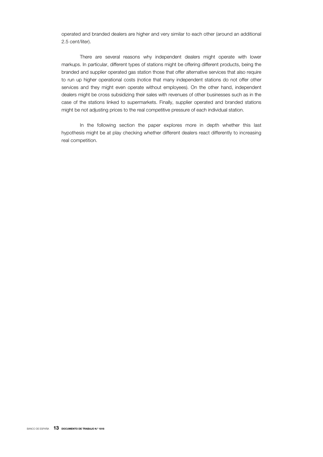operated and branded dealers are higher and very similar to each other (around an additional 2.5 cent/liter).

There are several reasons why independent dealers might operate with lower markups. In particular, different types of stations might be offering different products, being the branded and supplier operated gas station those that offer alternative services that also require to run up higher operational costs (notice that many independent stations do not offer other services and they might even operate without employees). On the other hand, independent dealers might be cross subsidizing their sales with revenues of other businesses such as in the case of the stations linked to supermarkets. Finally, supplier operated and branded stations might be not adjusting prices to the real competitive pressure of each individual station.

In the following section the paper explores more in depth whether this last hypothesis might be at play checking whether different dealers react differently to increasing real competition.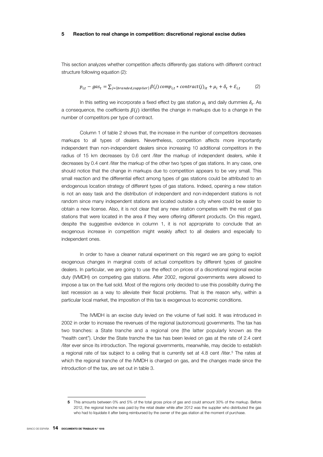#### 5 Reaction to real change in competition: discretional regional excise duties

This section analyzes whether competition affects differently gas stations with different contract structure following equation (2):

$$
p_{i,t} - gas_t = \sum_{j=\{branded, supplier\}} \beta(j) \, comp_{i,t} * contract(j)_{it} + \mu_i + \delta_t + \mathcal{E}_{i,t} \tag{2}
$$

In this setting we incorporate a fixed effect by gas station  $\mu_i$  and daily dummies  $\delta_t$ . As a consequence, the coefficients  $\beta(j)$  identifies the change in markups due to a change in the number of competitors per type of contract.

Column 1 of table 2 shows that, the increase in the number of competitors decreases markups to all types of dealers. Nevertheless, competition affects more importantly independent than non-independent dealers since increasing 10 additional competitors in the radius of 15 km decreases by 0.6 cent /liter the markup of independent dealers, while it decreases by 0.4 cent /liter the markup of the other two types of gas stations. In any case, one should notice that the change in markups due to competition appears to be very small. This small reaction and the differential effect among types of gas stations could be attributed to an endogenous location strategy of different types of gas stations. Indeed, opening a new station is not an easy task and the distribution of independent and non-independent stations is not random since many independent stations are located outside a city where could be easier to obtain a new license. Also, it is not clear that any new station competes with the rest of gas stations that were located in the area if they were offering different products. On this regard, despite the suggestive evidence in column 1, it is not appropriate to conclude that an exogenous increase in competition might weakly affect to all dealers and especially to independent ones.

In order to have a cleaner natural experiment on this regard we are going to exploit exogenous changes in marginal costs of actual competitors by different types of gasoline dealers. In particular, we are going to use the effect on prices of a discretional regional excise duty (IVMDH) on competing gas stations. After 2002, regional governments were allowed to impose a tax on the fuel sold. Most of the regions only decided to use this possibility during the last recession as a way to alleviate their fiscal problems. That is the reason why, within a particular local market, the imposition of this tax is exogenous to economic conditions.

The IVMDH is an excise duty levied on the volume of fuel sold. It was introduced in 2002 in order to increase the revenues of the regional (autonomous) governments. The tax has two tranches: a State tranche and a regional one (the latter popularly known as the "health cent"). Under the State tranche the tax has been levied on gas at the rate of 2.4 cent /liter ever since its introduction. The regional governments, meanwhile, may decide to establish a regional rate of tax subject to a ceiling that is currently set at 4.8 cent /liter.<sup>5</sup> The rates at which the regional tranche of the IVMDH is charged on gas, and the changes made since the introduction of the tax, are set out in table 3.

I

<sup>5</sup> This amounts between 0% and 5% of the total gross price of gas and could amount 30% of the markup. Before 2012, the regional tranche was paid by the retail dealer while after 2012 was the supplier who distributed the gas who had to liquidate it after being reimbursed by the owner of the gas station at the moment of purchase.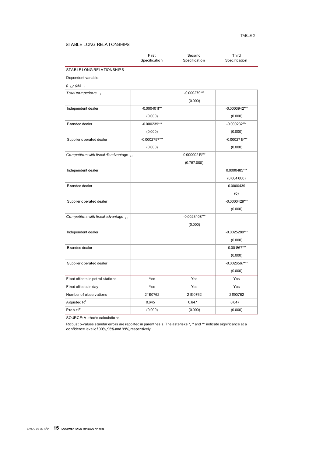#### TABLE 2

#### STABLE LONG RELATIONSHIPS

|                                          | First<br>Specification | Second<br>Specification | Third<br>Specification |
|------------------------------------------|------------------------|-------------------------|------------------------|
| STABLE LONG RELATIONSHIPS                |                        |                         |                        |
| Dependent variable:                      |                        |                         |                        |
| $p_{i,t}$ -gas <sub>t</sub>              |                        |                         |                        |
| Total competitors in                     |                        | $-0.000279***$          |                        |
|                                          |                        | (0.000)                 |                        |
| Independent dealer                       | $-0.000401$ **         |                         | -0.0003942***          |
|                                          | (0.000)                |                         | (0.000)                |
| <b>Branded dealer</b>                    | $-0.000239***$         |                         | $-0.000232***$         |
|                                          | (0.000)                |                         | (0.000)                |
| Supplier operated dealer                 | $-0.0002797***$        |                         | $-0.0002719***$        |
|                                          | (0.000)                |                         | (0.000)                |
| Competitors with fiscal disadvantage i.t |                        | 0.00000215***           |                        |
|                                          |                        | (0.757.000)             |                        |
| Independent dealer                       |                        |                         | 0.0000485***           |
|                                          |                        |                         | (0.004.000)            |
| <b>Branded dealer</b>                    |                        |                         | 0.0000439              |
|                                          |                        |                         | (0)                    |
| Supplier operated dealer                 |                        |                         | $-0.0000429***$        |
|                                          |                        |                         | (0.000)                |
| Competitors with fiscal advantage i.t    |                        | $-0.0023408***$         |                        |
|                                          |                        | (0.000)                 |                        |
| Independent dealer                       |                        |                         | $-0.0025289***$        |
|                                          |                        |                         | (0.000)                |
| <b>Branded dealer</b>                    |                        |                         | $-0.001867***$         |
|                                          |                        |                         | (0.000)                |
| Supplier operated dealer                 |                        |                         | $-0.0026567***$        |
|                                          |                        |                         | (0.000)                |
| Fixed effects in petrol stations         | Yes                    | Yes                     | Yes                    |
| Fixed effects in day                     | Yes                    | Yes                     | Yes                    |
| Number of observations                   | 21190762               | 21190762                | 21190762               |
| Adjusted R <sup>2</sup>                  | 0.645                  | 0.647                   | 0.647                  |
| Prob > F                                 | (0.000)                | (0.000)                 | (0.000)                |

SOURCE: Author's calculations.

Robust p-values standar errors are reported in parenthesis. The asterisks \*, \*\* and \*\*\* indicate significance at a confidence level of 90%, 95% and 99%, respectively.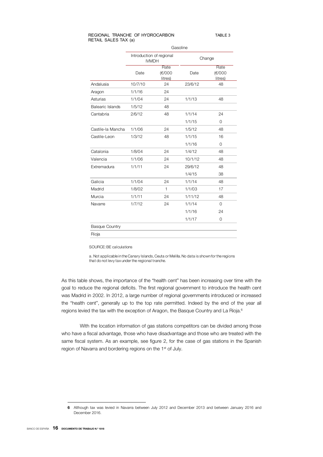#### REGIONAL TRANCHE OF HYDROCARBON RETAIL SALES TAX (a) TABLE 3

|                         | Gasoline                                 |                           |         |                           |  |  |
|-------------------------|------------------------------------------|---------------------------|---------|---------------------------|--|--|
|                         | Introduction of regional<br><b>IVMDH</b> |                           | Change  |                           |  |  |
|                         | Date                                     | Rate<br>(€/000<br>litres) | Date    | Rate<br>(€/000<br>litres) |  |  |
| Andalusia               | 10/7/10                                  | 24                        | 23/6/12 | 48                        |  |  |
| Aragon                  | 1/1/16                                   | 24                        |         |                           |  |  |
| Asturias                | 1/1/04                                   | 24                        | 1/1/13  | 48                        |  |  |
| <b>Balearic Islands</b> | 1/5/12                                   | 48                        |         |                           |  |  |
| Cantabria               | 2/6/12                                   | 48                        | 1/1/14  | 24                        |  |  |
|                         |                                          |                           | 1/1/15  | $\Omega$                  |  |  |
| Castile-la Mancha       | 1/1/06                                   | 24                        | 1/5/12  | 48                        |  |  |
| Castile-Leon            | 1/3/12                                   | 48                        | 1/1/15  | 16                        |  |  |
|                         |                                          |                           | 1/1/16  | $\Omega$                  |  |  |
| Catalonia               | 1/8/04                                   | 24                        | 1/4/12  | 48                        |  |  |
| Valencia                | 1/1/06                                   | 24                        | 10/1/12 | 48                        |  |  |
| Extremadura             | 1/1/11                                   | 24                        | 29/6/12 | 48                        |  |  |
|                         |                                          |                           | 1/4/15  | 38                        |  |  |
| Galicia                 | 1/1/04                                   | 24                        | 1/1/14  | 48                        |  |  |
| Madrid                  | 1/8/02                                   | $\mathbf{1}$              | 1/1/03  | 17                        |  |  |
| Murcia                  | 1/1/11                                   | 24                        | 1/11/12 | 48                        |  |  |
| Navarre                 | 1/7/12                                   | 24                        | 1/1/14  | $\Omega$                  |  |  |
|                         |                                          |                           | 1/1/16  | 24                        |  |  |
|                         |                                          |                           | 1/1/17  | 0                         |  |  |
| <b>Basque Country</b>   |                                          |                           |         |                           |  |  |
| Rioja                   |                                          |                           |         |                           |  |  |

#### SOURCE: BE calculations

a. Not applicable in the Canary Islands, Ceuta or Melilla. No data is shown for the regions that do not levy tax under the regional tranche.

As this table shows, the importance of the "health cent" has been increasing over time with the goal to reduce the regional deficits. The first regional government to introduce the health cent was Madrid in 2002. In 2012, a large number of regional governments introduced or increased the "health cent", generally up to the top rate permitted. Indeed by the end of the year all regions levied the tax with the exception of Aragon, the Basque Country and La Rioja.<sup>6</sup>

With the location information of gas stations competitors can be divided among those who have a fiscal advantage, those who have disadvantage and those who are treated with the same fiscal system. As an example, see figure 2, for the case of gas stations in the Spanish region of Navarra and bordering regions on the 1<sup>st</sup> of July.

I

<sup>6</sup> Although tax was levied in Navarra between July 2012 and December 2013 and between January 2016 and December 2016.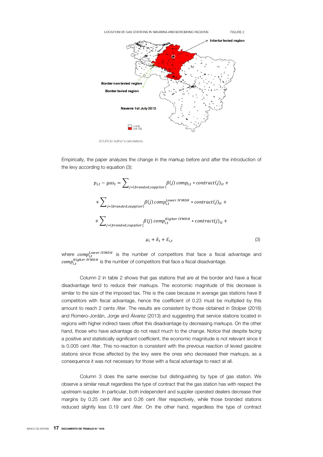LOCATION OF GAS STATIONS IN NAVARRA AND BORDERING REGIONS



FIGURE 2

SOURCE: Author's calculations.

Empirically, the paper analyzes the change in the markup before and after the introduction of the levy according to equation (3):

$$
p_{i,t} - gas_t = \sum_{j=\{branded, supplier\}} \beta(j) \, comp_{i,t} * contract(j)_{it} +
$$

$$
+ \sum_{j=\{branded, supplier\}} \beta(j) \, comp_{i,t}^{Lower\, IVMDH} * contract(j)_{it} +
$$

$$
+ \sum_{j=\{branded, supplier\}} \beta(j) \, comp_{i,t}^{Higher\, IVMDH} * contract(j)_{it} +
$$

$$
+ \sum_{j=\{branded, supplier\}} \beta(j) \, comp_{i,t}^{Higher\, IVMDH} * contract(j)_{it} +
$$

$$
\mu_i + \delta_t + \mathcal{E}_{i,t}
$$
(3)

where  $\mathit{comp}_{i,t}^{\mathit{Lower\;IVMDH}}$  is the number of competitors that face a fiscal advantage and  $\mathit{comp}_{i,t}^{\mathit{Higher\ IVMDH}}$  is the number of competitors that face a fiscal disadvantage.

Column 2 in table 2 shows that gas stations that are at the border and have a fiscal disadvantage tend to reduce their markups. The economic magnitude of this decrease is similar to the size of the imposed tax. This is the case because in average gas stations have 8 competitors with fiscal advantage, hence the coefficient of 0.23 must be multiplied by this amount to reach 2 cents /liter. The results are consistent by those obtained in Stolper (2016) and Romero-Jordán, Jorge and Álvarez (2013) and suggesting that service stations located in regions with higher indirect taxes offset this disadvantage by decreasing markups. On the other hand, those who have advantage do not react much to the change. Notice that despite facing a positive and statistically significant coefficient, the economic magnitude is not relevant since it is 0.005 cent /liter. This no-reaction is consistent with the previous reaction of levied gasoline stations since those affected by the levy were the ones who decreased their markups, as a consequence it was not necessary for those with a fiscal advantage to react at all.

Column 3 does the same exercise but distinguishing by type of gas station. We observe a similar result regardless the type of contract that the gas station has with respect the upstream supplier. In particular, both independent and supplier operated dealers decrease their margins by 0.25 cent /liter and 0.26 cent /liter respectively, while those branded stations reduced slightly less 0.19 cent /liter. On the other hand, regardless the type of contract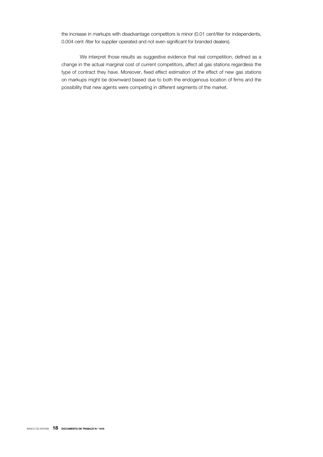the increase in markups with disadvantage competitors is minor (0.01 cent/liter for independents, 0.004 cent /liter for supplier operated and not even significant for branded dealers).

We interpret those results as suggestive evidence that real competition, defined as a change in the actual marginal cost of current competitors, affect all gas stations regardless the type of contract they have. Moreover, fixed effect estimation of the effect of new gas stations on markups might be downward biased due to both the endogenous location of firms and the possibility that new agents were competing in different segments of the market.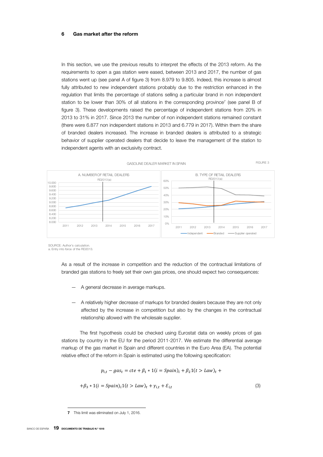#### 6 Gas market after the reform

In this section, we use the previous results to interpret the effects of the 2013 reform. As the requirements to open a gas station were eased, between 2013 and 2017, the number of gas stations went up (see panel A of figure 3) from 8.979 to 9.805. Indeed, this increase is almost fully attributed to new independent stations probably due to the restriction enhanced in the regulation that limits the percentage of stations selling a particular brand in non independent station to be lower than 30% of all stations in the corresponding province<sup>7</sup> (see panel B of figure 3). These developments raised the percentage of independent stations from 20% in 2013 to 31% in 2017. Since 2013 the number of non independent stations remained constant (there were 6.877 non independent stations in 2013 and 6.779 in 2017). Within them the share of branded dealers increased. The increase in branded dealers is attributed to a strategic behavior of supplier operated dealers that decide to leave the management of the station to independent agents with an exclusivity contract.



SOURCE: Author's calculation. a. Entry into force of the RD2013.

> As a result of the increase in competition and the reduction of the contractual limitations of branded gas stations to freely set their own gas prices, one should expect two consequences:

- A general decrease in average markups.
- A relatively higher decrease of markups for branded dealers because they are not only affected by the increase in competition but also by the changes in the contractual relationship allowed with the wholesale supplier.

The first hypothesis could be checked using Eurostat data on weekly prices of gas stations by country in the EU for the period 2011-2017. We estimate the differential average markup of the gas market in Spain and different countries in the Euro Area (EA). The potential relative effect of the reform in Spain is estimated using the following specification:

$$
p_{i,t} - gas_t = cte + \beta_1 * 1(i = Spain)_i + \beta_2 1(t > Law)_t +
$$

$$
+\beta_3 * 1(i = Spain)_i1(t > Law)_t + \gamma_{i,t} + \varepsilon_{i,t}
$$
\n
$$
\tag{3}
$$

 $\overline{a}$ 

<sup>7</sup> This limit was eliminated on July 1, 2016.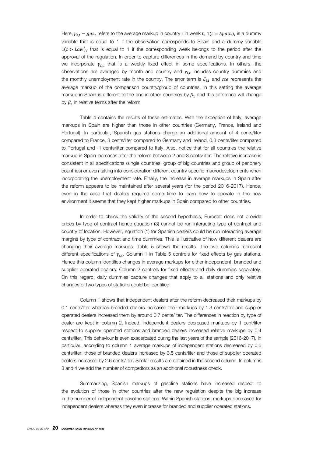Here,  $p_{i,t} - gas_t$  refers to the average markup in country *i* in week t,  $1(i = Spain)$ , is a dummy variable that is equal to 1 if the observation corresponds to Spain and a dummy variable  $1(t > Law)$ , that is equal to 1 if the corresponding week belongs to the period after the approval of the regulation. In order to capture differences in the demand by country and time we incorporate  $\gamma_{i,t}$  that is a weekly fixed effect in some specifications. In others, the observations are averaged by month and country and  $\gamma_{i,t}$  includes country dummies and the monthly unemployment rate in the country. The error term is  $\varepsilon_{i,t}$  and *cte* represents the average markup of the comparison country/group of countries. In this setting the average markup in Spain is different to the one in other countries by  $\beta_1$  and this difference will change by  $\beta_3$  in relative terms after the reform.

Table 4 contains the results of these estimates. With the exception of Italy, average markups in Spain are higher than those in other countries (Germany, France, Ireland and Portugal). In particular, Spanish gas stations charge an additional amount of 4 cents/liter compared to France, 3 cents/liter compared to Germany and Ireland, 0,3 cents/liter compared to Portugal and -1 cents/liter compared to Italy. Also, notice that for all countries the relative markup in Spain increases after the reform between 2 and 3 cents/liter. The relative increase is consistent in all specifications (single countries, group of big countries and group of periphery countries) or even taking into consideration different country specific macrodevelopments when incorporating the unemployment rate. Finally, the increase in average markups in Spain after the reform appears to be maintained after several years (for the period 2016-2017). Hence, even in the case that dealers required some time to learn how to operate in the new environment it seems that they kept higher markups in Spain compared to other countries.

In order to check the validity of the second hypothesis, Eurostat does not provide prices by type of contract hence equation (3) cannot be run interacting type of contract and country of location. However, equation (1) for Spanish dealers could be run interacting average margins by type of contract and time dummies. This is illustrative of how different dealers are changing their average markups. Table 5 shows the results. The two columns represent different specifications of  $\gamma_{i,t}$ . Column 1 in Table 5 controls for fixed effects by gas stations. Hence this column identifies changes in average markups for either independent, branded and supplier operated dealers. Column 2 controls for fixed effects and daily dummies separately. On this regard, daily dummies capture changes that apply to all stations and only relative changes of two types of stations could be identified.

Column 1 shows that independent dealers after the reform decreased their markups by 0.1 cents/liter whereas branded dealers increased their markups by 1.3 cents/liter and supplier operated dealers increased them by around 0.7 cents/liter. The differences in reaction by type of dealer are kept in column 2. Indeed, independent dealers decreased markups by 1 cent/liter respect to supplier operated stations and branded dealers increased relative markups by 0.4 cents/liter. This behaviour is even exacerbated during the last years of the sample (2016-2017). In particular, according to column 1 average markups of independent stations decreased by 0.5 cents/liter, those of branded dealers increased by 3.5 cents/liter and those of supplier operated dealers increased by 2.6 cents/liter. Similar results are obtained in the second column. In columns 3 and 4 we add the number of competitors as an additional robustness check.

Summarizing, Spanish markups of gasoline stations have increased respect to the evolution of those in other countries after the new regulation despite the big increase in the number of independent gasoline stations. Within Spanish stations, markups decreased for independent dealers whereas they even increase for branded and supplier operated stations.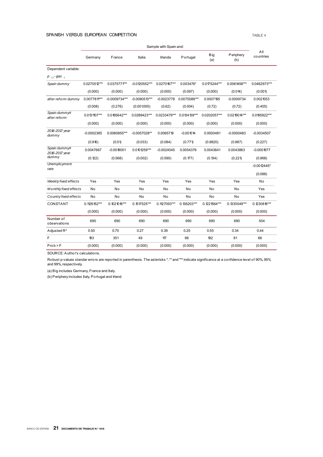#### SPANISH VERSUS EUROPEAN COMPETITION TABLE 4

|                                   | Sample with Spain and: |                 |                 |              |               |                   |                  |                  |
|-----------------------------------|------------------------|-----------------|-----------------|--------------|---------------|-------------------|------------------|------------------|
|                                   | Germany                | France          | Italia          | Irlanda      | Portugal      | <b>Big</b><br>(a) | Periphery<br>(b) | All<br>countries |
| Dependent variable:               |                        |                 |                 |              |               |                   |                  |                  |
| p <sub>it</sub> -gas <sub>t</sub> |                        |                 |                 |              |               |                   |                  |                  |
| Spain dummy                       | 0.0270512***           | 0.0375771***    | $-0.0120552***$ | 0.0270167*** | 0.003476*     | 0.0175244***      | 0.0061458***     | 0.0462973***     |
|                                   | (0.000)                | (0.000)         | (0.000)         | (0.000)      | (0.097)       | (0.000)           | (0.04)           | (0.001)          |
| after reform dummy                | 0.007781***            | $-0.0009734***$ | $-0.0080513***$ | $-0.0023778$ | 0.0075089***  | 0.0007195         | $-0.0009734$     | 0.0021053        |
|                                   | (0.008)                | (0.276)         | (0.001.000)     | (0.62)       | (0.004)       | (0.72)            | (0.72)           | (0.405)          |
| Spain dummy#<br>after reform      | $0.0131107***$         | 0.0185642***    | 0.0289423***    | 0.0233479*** | 0.0134139***  | 0.0202057***      | 0.0219014***     | 0.0195922***     |
|                                   | (0.000)                | (0.000)         | (0.000)         | (0.000)      | (0.000)       | (0.000)           | (0.000)          | (0.000)          |
| 2016-2017 year<br>dummy           | $-0.0002385$           | 0.0060855***    | $-0.0057028**$  | 0.0065719    | $-0.001014$   | 0.0000481         | $-0.0000483$     | $-0.0034507$     |
|                                   | (0.916)                | (0.01)          | (0.033)         | (0.084)      | (0.771)       | (0.9820)          | (0.987)          | (0.227)          |
| Spain dummy#<br>2016-2017 year    | 0.0047667              | $-0.0018001$    | 0.0101259***    | $-0.0024045$ | 0.0054376     | 0.0043641         | 0.0043863        | $-0.0001977$     |
| dummy                             | (0.122)                | (0.568)         | (0.002)         | (0.590)      | (0.177)       | (0.134)           | (0.221)          | (0.968)          |
| Unemployment                      |                        |                 |                 |              |               |                   |                  | $-0.0012445*$    |
| rate                              |                        |                 |                 |              |               |                   |                  | (0.088)          |
| Weekly fixed effects              | Yes                    | Yes             | Yes             | Yes          | Yes           | Yes               | Yes              | No               |
| M onthly fixed effects            | No                     | No              | No              | No           | No            | No                | No               | Yes              |
| Country fixed effects             | No                     | No              | No              | No           | No            | No                | No               | Yes              |
| CONSTANT                          | $0.1126152***$         | $0.1021016***$  | $0.1517525***$  | 0.1127093*** | $0.136203***$ | $0.1221564***$    | 0.1335549***     | $0.1230816***$   |
|                                   | (0.000)                | (0.000)         | (0.000)         | (0.000)      | (0.000)       | (0.000)           | (0.000)          | (0.000)          |
| Number of<br>observations         | 690                    | 690             | 690             | 690          | 690           | 690               | 690              | 504              |
| Adjusted $R^2$                    | 0.50                   | 0.70            | 0.27            | 0.39         | 0.25          | 0.55              | 0.34             | 0.44             |
| F                                 | 183                    | 351             | 49              | 117          | 66            | 192               | 81               | 66               |
| Prob > F                          | (0.000)                | (0.000)         | (0.000)         | (0.000)      | (0.000)       | (0.000)           | (0.000)          | (0.000)          |

SOURCE: Author's calculations.

Robust p-values standar errors are reported in parenthesis. The asterisks \*, \*\* and \*\*\* indicate significance at a confidence level of 90%, 95% and 99%, respectively.

(a) Big includes Germany, France and Italy.

(b) Periphery includes Italy, Portugal and Irland.

BANCO DE ESPAÑA 21 DOCUMENTO DE TRABAJO N.º 1818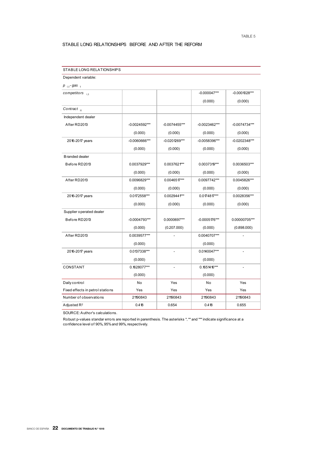#### STABLE LONG RELATIONSHIPS BEFORE AND AFTER THE REFORM

| Dependent variable:              |                 |                          |                 |                              |
|----------------------------------|-----------------|--------------------------|-----------------|------------------------------|
| $p_{i,t}$ -gas $_{t}$            |                 |                          |                 |                              |
| competitors $_{i,t}$             |                 |                          | $-0.000047***$  | $-0.0001028***$              |
|                                  |                 |                          | (0.000)         | (0.000)                      |
| Contract <sub>it</sub>           |                 |                          |                 |                              |
| Independent dealer               |                 |                          |                 |                              |
| After RD2013                     | $-0.0024592***$ | $-0.0074455***$          | $-0.0023462***$ | $-0.0074734***$              |
|                                  | (0.000)         | (0.000)                  | (0.000)         | (0.000)                      |
| 2016-2017 years                  | $-0.0060666***$ | $-0.020$ 1269***         | $-0.0058396***$ | $-0.0202348***$              |
|                                  | (0.000)         | (0.000)                  | (0.000)         | (0.000)                      |
| <b>Branded dealer</b>            |                 |                          |                 |                              |
| Before RD2013                    | 0.0037929***    | 0.0037621***             | 0.0037319***    | 0.0036503***                 |
|                                  | (0.000)         | (0.000)                  | (0.000)         | (0.000)                      |
| After RD2013                     | 0.0096829***    | $0.0046517***$           | 0.0097742***    | 0.0045826***                 |
|                                  | (0.000)         | (0.000)                  | (0.000)         | (0.000)                      |
| 2016-2017 years                  | 0.0172558***    | 0.0029441***             | $0.0174817***$  | 0.0028356***                 |
|                                  | (0.000)         | (0.000)                  | (0.000)         | (0.000)                      |
| Supplier operated dealer         |                 |                          |                 |                              |
| Before RD2013                    | $-0.0004793***$ | 0.0000697***             | $-0.0005176***$ | 0.00000705***                |
|                                  | (0.000)         | (0.207.000)              | (0.000)         | (0.898.000)                  |
| After RD2013                     | 0.0039577***    |                          | 0.0040707***    |                              |
|                                  | (0.000)         |                          | (0.000)         |                              |
| 2016-2017 years                  | 0.0137338***    | $\overline{\phantom{a}}$ | 0.0140047***    | $\overline{\phantom{a}}$     |
|                                  | (0.000)         |                          | (0.000)         |                              |
| CONSTANT                         | 0.1628077***    | $\overline{\phantom{a}}$ | $0.165416***$   | $\qquad \qquad \blacksquare$ |
|                                  | (0.000)         |                          | (0.000)         |                              |
| Daily control                    | No              | Yes                      | No              | Yes                          |
| Fixed effects in petrol stations | Yes             | Yes                      | Yes             | Yes                          |
| Number of observations           | 21190843        | 21190843                 | 21190843        | 21190843                     |
| Adjusted R <sup>2</sup>          | 0.418           | 0.654                    | 0.418           | 0.655                        |

STABLE LONG RELATIONSHIPS

SOURCE: Author's calculations.

Robust p-values standar errors are reported in parenthesis. The asterisks \*, \*\* and \*\*\* indicate significance at a confidence level of 90%, 95% and 99%, respectively.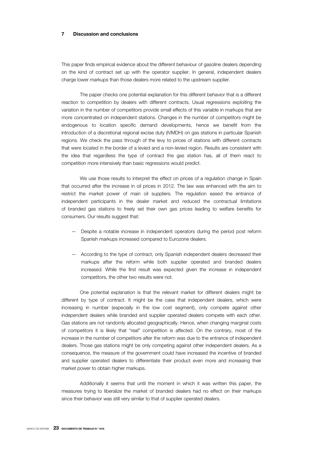#### 7 Discussion and conclusions

This paper finds empirical evidence about the different behaviour of gasoline dealers depending on the kind of contract set up with the operator supplier. In general, independent dealers charge lower markups than those dealers more related to the upstream supplier.

The paper checks one potential explanation for this different behavior that is a different reaction to competition by dealers with different contracts. Usual regressions exploiting the variation in the number of competitors provide small effects of this variable in markups that are more concentrated on independent stations. Changes in the number of competitors might be endogenous to location specific demand developments, hence we benefit from the introduction of a discretional regional excise duty (IVMDH) on gas stations in particular Spanish regions. We check the pass through of the levy to prices of stations with different contracts that were located in the border of a levied and a non-levied region. Results are consistent with the idea that regardless the type of contract the gas station has, all of them react to competition more intensively than basic regressions would predict.

We use those results to interpret the effect on prices of a regulation change in Spain that occurred after the increase in oil prices in 2012. The law was enhanced with the aim to restrict the market power of main oil suppliers. The regulation eased the entrance of independent participants in the dealer market and reduced the contractual limitations of branded gas stations to freely set their own gas prices leading to welfare benefits for consumers. Our results suggest that:

- Despite a notable increase in independent operators during the period post reform Spanish markups increased compared to Eurozone dealers.
- According to the type of contract, only Spanish independent dealers decreased their markups after the reform while both supplier operated and branded dealers increased. While the first result was expected given the increase in independent competitors, the other two results were not.

One potential explanation is that the relevant market for different dealers might be different by type of contract. It might be the case that independent dealers, which were increasing in number (especially in the low cost segment), only compete against other independent dealers while branded and supplier operated dealers compete with each other. Gas stations are not randomly allocated geographically. Hence, when changing marginal costs of competitors it is likely that "real" competition is affected. On the contrary, most of the increase in the number of competitors after the reform was due to the entrance of independent dealers. Those gas stations might be only competing against other independent dealers. As a consequence, the measure of the government could have increased the incentive of branded and supplier operated dealers to differentiate their product even more and increasing their market power to obtain higher markups.

Additionally it seems that until the moment in which it was written this paper, the measures trying to liberalize the market of branded dealers had no effect on their markups since their behavior was still very similar to that of supplier operated dealers.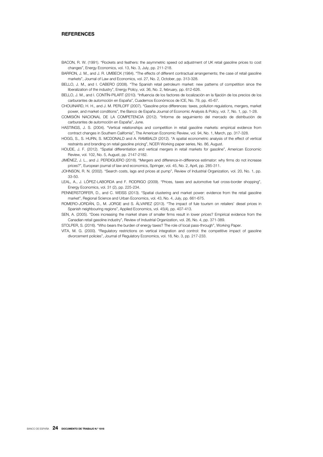#### **REFERENCES**

BACON, R. W. (1991). "Rockets and feathers: the asymmetric speed od adjustment of UK retail gasoline prices to cost changes", Energy Economics, vol. 13, No. 3, July, pp. 211-218.

BARRON, J. M., and J. R. UMBECK (1984). "The effects of different contractual arrangements; the case of retail gasoline markets", Journal of Law and Economics, vol. 27, No. 2, October, pp. 313-328.

- BELLO, J. M., and I. CABERO (2008). "The Spanish retail petroleum market: new patterns of competition since the liberalization of the industry", Energy Policy, vol. 36, No. 2, february, pp. 612-626.
- BELLO, J. M., and I. CONTÍN-PILART (2010). "Influencia de los factores de localización en la fijación de los precios de los carburantes de automoción en España", Cuadernos Económicos de ICE, No. 79, pp. 45-67.
- CHOUINARD, H. H., and J. M. PERLOFF (2007). "Gasoline price differences: taxes, pollution regulations, mergers, market power, and market conditions", the Banco de España Journal of Economic Analysis & Policy, vol. 7, No. 1, pp. 1-28.
- COMISIÓN NACIONAL DE LA COMPETENCIA (2012). "Informe de seguimiento del mercado de distribución de carburantes de automoción en España", June.
- HASTINGS, J. S. (2004). "Vertical relationships and competition in retail gasoline markets: empirical evidence from contract changes in Southern California", The American Economic Review, vol. 94, No. 1, March, pp. 317-328.
- HOGG, S., S. HURN, S. MCDONALD and A. RAMBALDI (2012). "A spatial econometric analysis of the effect of vertical restraints and branding on retail gasoline pricing", NCER Working paper series, No. 86, August.
- HOUDE, J. F. (2012). "Spatial differentiation and vertical mergers in retail markets for gasoline", American Economic Review, vol. 102, No. 5, August, pp. 2147-2182.
- JIMÉNEZ, J. L., and J. PERDIGUERO (2018). "Mergers and difference-in-difference estimator: why firms do not increase prices?", European journal of law and economics, Springer, vol. 45, No. 2, April, pp. 285-311.
- JOHNSON, R. N. (2002). "Search costs, lags and prices at pump", Review of Industrial Organization*,* vol. 20, No. 1, pp. 33-50.
- LEAL, A., J. LÓPEZ-LABORDA and F. RODRIGO (2009). "Prices, taxes and automotive fuel cross-border shopping", Energy Economics, vol. 31 (2), pp. 225-234.
- PENNERSTORFER, D., and C. WEISS (2013). "Spatial clustering and market power: evidence from the retail gasoline market", Regional Science and Urban Economics, vol. 43, No. 4, July, pp. 661-675.
- ROMERO-JORDÁN, D., M. JORGE and S. ÁLVAREZ (2013). "The impact of fule tourism on retailers' diesel prices in Spanish neighbouring regions", Applied Economics, vol. 45(4), pp. 407-413.
- SEN, A. (2005). "Does increasing the market share of smaller firms result in lower prices? Empirical evidence from the Canadian retail gasoline industry", Review of Industrial Organization, vol. 26, No. 4, pp. 371-389.
- STOLPER, S. (2016). "Who bears the burden of energy taxes? The role of local pass-through", Working Paper.
- VITA, M. G. (2000). "Regulatory restrictions on vertical integration and control: the competitive impact of gasoline divorcement policies", Journal of Regulatory Economics, vol. 18, No. 3, pp. 217-233.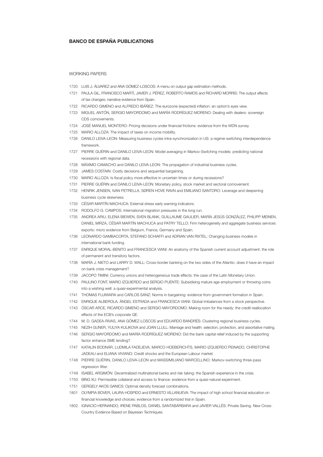#### BANCO DE ESPAÑA PUBLICATIONS

#### WORKING PAPERS

- 1720 LUIS J. ÁLVAREZ and ANA GÓMEZ-LOSCOS: A menu on output gap estimation methods.
- 1721 PAULA GIL, FRANCISCO MARTÍ, JAVIER J. PÉREZ, ROBERTO RAMOS and RICHARD MORRIS: The output effects of tax changes: narrative evidence from Spain.
- 1722 RICARDO GIMENO and ALFREDO IBÁÑEZ: The eurozone (expected) inflation: an option's eyes view.
- 1723 MIGUEL ANTÓN, SERGIO MAYORDOMO and MARÍA RODRÍGUEZ-MORENO: Dealing with dealers: sovereign CDS comovements.
- 1724 JOSÉ MANUEL MONTERO: Pricing decisions under financial frictions: evidence from the WDN survey.
- 1725 MARIO ALLOZA: The impact of taxes on income mobility.
- 1726 DANILO LEIVA-LEON: Measuring business cycles intra-synchronization in US: a regime-switching interdependence framework
- 1727 PIERRE GUÉRIN and DANILO LEIVA-LEON: Model averaging in Markov-Switching models: predicting national recessions with regional data.
- 1728 MÁXIMO CAMACHO and DANILO LEIVA-LEON: The propagation of industrial business cycles.
- 1729 JAMES COSTAIN: Costly decisions and sequential bargaining.
- 1730 MARIO ALLOZA: Is fiscal policy more effective in uncertain times or during recessions?
- 1731 PIERRE GUÉRIN and DANILO LEIVA-LEON: Monetary policy, stock market and sectoral comovement.
- 1732 HENRIK JENSEN, IVAN PETRELLA, SØREN HOVE RAVN and EMILIANO SANTORO: Leverage and deepening business cycle skewness.
- 1733 CÉSAR MARTÍN MACHUCA: External stress early warning indicators.
- 1734 RODOLFO G. CAMPOS: International migration pressures in the long run.
- 1735 ANDREA ARIU, ELENA BIEWEN, SVEN BLANK, GUILLAUME GAULIER, MARÍA JESÚS GONZÁLEZ, PHILIPP MEINEN, DANIEL MIRZA, CÉSAR MARTÍN MACHUCA and PATRY TELLO: Firm heterogeneity and aggregate business services exports: micro evidence from Belgium, France, Germany and Spain.
- 1736 LEONARDO GAMBACORTA, STEFANO SCHIAFFI and ADRIAN VAN RIXTEL: Changing business models in international bank funding.
- 1737 ENRIQUE MORAL-BENITO and FRANCESCA VIANI: An anatomy of the Spanish current account adjustment: the role of permanent and transitory factors.
- 1738 MARÍA J. NIETO and LARRY D. WALL: Cross-border banking on the two sides of the Atlantic: does it have an impact on bank crisis management?
- 1739 JACOPO TIMINI: Currency unions and heterogeneous trade effects: the case of the Latin Monetary Union.
- 1740 PAULINO FONT, MARIO IZQUIERDO and SERGIO PUENTE: Subsidising mature age employment or throwing coins into a wishing well: a quasi-experimental analysis.
- 1741 THOMAS FUJIWARA and CARLOS SANZ: Norms in bargaining: evidence from government formation in Spain.
- 1742 ENRIQUE ALBEROLA, ÁNGEL ESTRADA and FRANCESCA VIANI: Global imbalances from a stock perspective.
- 1743 ÓSCAR ARCE, RICARDO GIMENO and SERGIO MAYORDOMO: Making room for the needy: the credit-reallocation effects of the ECB's corporate QE.
- 1744 M. D. GADEA-RIVAS, ANA GÓMEZ-LOSCOS and EDUARDO BANDRÉS: Clustering regional business cycles.
- 1745 NEZIH GUNER, YULIYA KULIKOVA and JOAN LLULL: Marriage and health: selection, protection, and assortative mating.
- 1746 SERGIO MAYORDOMO and MARÍA RODRÍGUEZ-MORENO: Did the bank capital relief induced by the supporting factor enhance SME lending?
- 1747 KATALIN BODNÁR, LUDMILA FADEJEVA, MARCO HOEBERICHTS, MARIO IZQUIERDO PEINADO, CHRISTOPHE JADEAU and ELIANA VIVIANO: Credit shocks and the European Labour market.
- 1748 PIERRE GUÉRIN, DANILO LEIVA-LEON and MASSIMILIANO MARCELLINO: Markov-switching three-pass regression filter.
- 1749 ISABEL ARGIMÓN: Decentralized multinational banks and risk taking: the Spanish experience in the crisis.
- 1750 BING XU: Permissible collateral and access to finance: evidence from a quasi-natural experiment.
- 1751 GERGELY AKOS GANICS: Optimal density forecast combinations.
- 1801 OLYMPIA BOVER, LAURA HOSPIDO and ERNESTO VILLANUEVA: The impact of high school financial education on financial knowledge and choices: evidence from a randomized trial in Spain.
- 1802 IGNACIO HERNANDO, IRENE PABLOS, DANIEL SANTABÁRBARA and JAVIER VALLÉS: Private Saving. New Cross-Country Evidence Based on Bayesian Techniques.